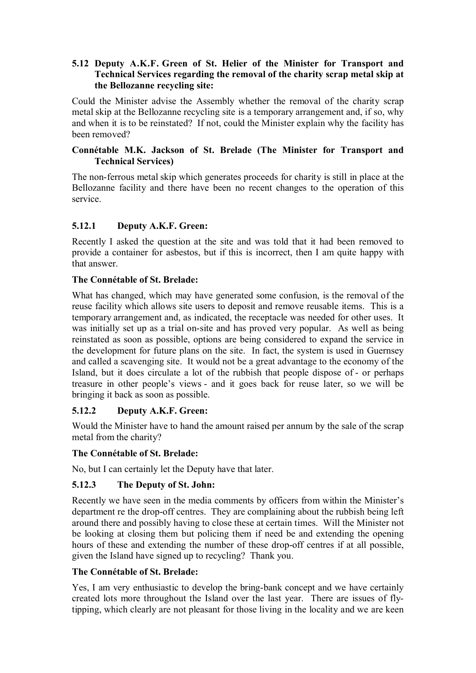### **5.12 Deputy A.K.F. Green of St. Helier of the Minister for Transport and Technical Services regarding the removal of the charity scrap metal skip at the Bellozanne recycling site:**

Could the Minister advise the Assembly whether the removal of the charity scrap metal skip at the Bellozanne recycling site is a temporary arrangement and, if so, why and when it is to be reinstated? If not, could the Minister explain why the facility has been removed?

### **Connétable M.K. Jackson of St. Brelade (The Minister for Transport and Technical Services)**

The non-ferrous metal skip which generates proceeds for charity is still in place at the Bellozanne facility and there have been no recent changes to the operation of this service.

## **5.12.1 Deputy A.K.F. Green:**

Recently I asked the question at the site and was told that it had been removed to provide a container for asbestos, but if this is incorrect, then I am quite happy with that answer.

## **The Connétable of St. Brelade:**

What has changed, which may have generated some confusion, is the removal of the reuse facility which allows site users to deposit and remove reusable items. This is a temporary arrangement and, as indicated, the receptacle was needed for other uses. It was initially set up as a trial on-site and has proved very popular. As well as being reinstated as soon as possible, options are being considered to expand the service in the development for future plans on the site. In fact, the system is used in Guernsey and called a scavenging site. It would not be a great advantage to the economy of the Island, but it does circulate a lot of the rubbish that people dispose of - or perhaps treasure in other people's views - and it goes back for reuse later, so we will be bringing it back as soon as possible.

# **5.12.2 Deputy A.K.F. Green:**

Would the Minister have to hand the amount raised per annum by the sale of the scrap metal from the charity?

### **The Connétable of St. Brelade:**

No, but I can certainly let the Deputy have that later.

# **5.12.3 The Deputy of St. John:**

Recently we have seen in the media comments by officers from within the Minister's department re the drop-off centres. They are complaining about the rubbish being left around there and possibly having to close these at certain times. Will the Minister not be looking at closing them but policing them if need be and extending the opening hours of these and extending the number of these drop-off centres if at all possible, given the Island have signed up to recycling? Thank you.

### **The Connétable of St. Brelade:**

Yes, I am very enthusiastic to develop the bring-bank concept and we have certainly created lots more throughout the Island over the last year. There are issues of flytipping, which clearly are not pleasant for those living in the locality and we are keen